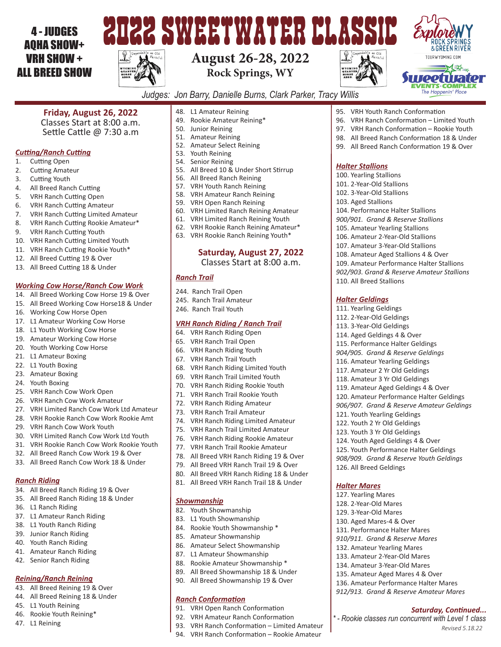## 4 - JUDGES AQHA SHOW+ VRH SHOW + ALL BREED SHOW



## **August 26-28, 2022 Rock Springs, WY**



*Halter Stallions* 100. Yearling Stallions 101. 2-Year-Old Stallions 102. 3-Year-Old Stallions 103. Aged Stallions

95. VRH Youth Ranch Conformation

104. Performance Halter Stallions *900/901. Grand & Reserve Stallions* 105. Amateur Yearling Stallions 106. Amateur 2-Year-Old Stallions 107. Amateur 3-Year-Old Stallions 108. Amateur Aged Stallions 4 & Over 109. Amateur Performance Halter Stallions *902/903. Grand & Reserve Amateur Stallions*

110. All Breed Stallions

121. Youth Yearling Geldings 122. Youth 2 Yr Old Geldings 123. Youth 3 Yr Old Geldings 124. Youth Aged Geldings 4 & Over 125. Youth Performance Halter Geldings *908/909. Grand & Reserve Youth Geldings*

126. All Breed Geldings

*Halter Mares* 127. Yearling Mares 128. 2-Year-Old Mares 129. 3-Year-Old Mares 130. Aged Mares-4 & Over 131. Performance Halter Mares *910/911. Grand & Reserve Mares* 132. Amateur Yearling Mares 133. Amateur 2-Year-Old Mares 134. Amateur 3-Year-Old Mares 135. Amateur Aged Mares 4 & Over 136. Amateur Performance Halter Mares *912/913. Grand & Reserve Amateur Mares*

*Halter Geldings* 111. Yearling Geldings 112. 2-Year-Old Geldings 113. 3-Year-Old Geldings 114. Aged Geldings 4 & Over 115. Performance Halter Geldings *904/905. Grand & Reserve Geldings* 116. Amateur Yearling Geldings 117. Amateur 2 Yr Old Geldings 118. Amateur 3 Yr Old Geldings 119. Amateur Aged Geldings 4 & Over 120. Amateur Performance Halter Geldings *906/907. Grand & Reserve Amateur Geldings*

96. VRH Ranch Conformation – Limited Youth 97. VRH Ranch Conformation – Rookie Youth 98. All Breed Ranch Conformation 18 & Under 99. All Breed Ranch Conformation 19 & Over



*Revised 5.18.22*

*Saturday, Continued...*

*\* - Rookie classes run concurrent with Level 1 class*

*Judges: Jon Barry, Danielle Burns, Clark Parker, Tracy Willis*

**Friday, August 26, 2022**

Classes Start at 8:00 a.m. Settle Cattle @ 7:30 a.m

#### *Cutting/Ranch Cutting*

- 1. Cutting Open
- 2. Cutting Amateur
- 3. Cutting Youth
- 4. All Breed Ranch Cutting
- 5. VRH Ranch Cutting Open
- 6. VRH Ranch Cutting Amateur
- 7. VRH Ranch Cutting Limited Amateur
- 8. VRH Ranch Cutting Rookie Amateur\*
- 9. VRH Ranch Cutting Youth
- 10. VRH Ranch Cutting Limited Youth
- 11. VRH Ranch Cutting Rookie Youth\*
- 12. All Breed Cutting 19 & Over
- 13. All Breed Cutting 18 & Under

#### *Working Cow Horse/Ranch Cow Work*

- 14. All Breed Working Cow Horse 19 & Over
- 15. All Breed Working Cow Horse18 & Under
- 16. Working Cow Horse Open
- 17. L1 Amateur Working Cow Horse
- 18. L1 Youth Working Cow Horse
- 19. Amateur Working Cow Horse
- 20. Youth Working Cow Horse
- 21. L1 Amateur Boxing
- 22. L1 Youth Boxing
- 23. Amateur Boxing
- 24. Youth Boxing
- 25. VRH Ranch Cow Work Open
- 26. VRH Ranch Cow Work Amateur
- 27. VRH Limited Ranch Cow Work Ltd Amateur
- 28. VRH Rookie Ranch Cow Work Rookie Amt
- 29. VRH Ranch Cow Work Youth
- 30. VRH Limited Ranch Cow Work Ltd Youth
- 31. VRH Rookie Ranch Cow Work Rookie Youth
- 32. All Breed Ranch Cow Work 19 & Over
- 33. All Breed Ranch Cow Work 18 & Under

#### *Ranch Riding*

- 34. All Breed Ranch Riding 19 & Over
- 35. All Breed Ranch Riding 18 & Under
- 36. L1 Ranch Riding
- 37. L1 Amateur Ranch Riding
- 38. L1 Youth Ranch Riding
- 39. Junior Ranch Riding
- 40. Youth Ranch Riding
- 41. Amateur Ranch Riding
- 42. Senior Ranch Riding

#### *Reining/Ranch Reining*

- 43. All Breed Reining 19 & Over
- 44. All Breed Reining 18 & Under
- 45. L1 Youth Reining
- 46. Rookie Youth Reining\*
- 47. L1 Reining
- 48. L1 Amateur Reining
- 49. Rookie Amateur Reining\*
- 50. Junior Reining
- 51. Amateur Reining
- 52. Amateur Select Reining
- 53. Youth Reining
- 54. Senior Reining
- 55. All Breed 10 & Under Short Stirrup
- 56. All Breed Ranch Reining
- 57. VRH Youth Ranch Reining
- 58. VRH Amateur Ranch Reining
- 59. VRH Open Ranch Reining
- 60. VRH Limited Ranch Reining Amateur
- 61. VRH Limited Ranch Reining Youth
- 62. VRH Rookie Ranch Reining Amateur\*
- 63. VRH Rookie Ranch Reining Youth\*

### **Saturday, August 27, 2022**

Classes Start at 8:00 a.m.

#### *Ranch Trail*

- 244. Ranch Trail Open
- 245. Ranch Trail Amateur
- 246. Ranch Trail Youth

#### *VRH Ranch Riding / Ranch Trail*

- 64. VRH Ranch Riding Open
- 65. VRH Ranch Trail Open
- 66. VRH Ranch Riding Youth
- 67. VRH Ranch Trail Youth
- 68. VRH Ranch Riding Limited Youth
- 69. VRH Ranch Trail Limited Youth
- 70. VRH Ranch Riding Rookie Youth
- 71. VRH Ranch Trail Rookie Youth
- 72. VRH Ranch Riding Amateur
- 73. VRH Ranch Trail Amateur

*Showmanship*

82. Youth Showmanship 83. L1 Youth Showmanship 84. Rookie Youth Showmanship \* 85. Amateur Showmanship 86. Amateur Select Showmanship 87. L1 Amateur Showmanship 88. Rookie Amateur Showmanship \* 89. All Breed Showmanship 18 & Under 90. All Breed Showmanship 19 & Over

*Ranch Conformation*

91. VRH Open Ranch Conformation 92. VRH Amateur Ranch Conformation

93. VRH Ranch Conformation – Limited Amateur 94. VRH Ranch Conformation – Rookie Amateur

- 74. VRH Ranch Riding Limited Amateur
- 75. VRH Ranch Trail Limited Amateur
- 76. VRH Ranch Riding Rookie Amateur
- 77. VRH Ranch Trail Rookie Amateur
- 78. All Breed VRH Ranch Riding 19 & Over
- 79. All Breed VRH Ranch Trail 19 & Over
- 80. All Breed VRH Ranch Riding 18 & Under
- 81. All Breed VRH Ranch Trail 18 & Under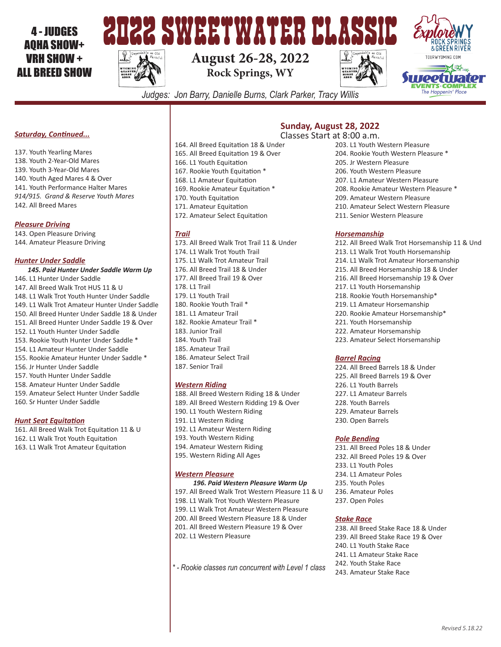## 4 - JUDGES AQHA SHOW+ VRH SHOW + ALL BREED SHOW



# **August 26-28, 2022 Rock Springs, WY**





*Judges: Jon Barry, Danielle Burns, Clark Parker, Tracy Willis*

#### *Saturday, Continued...*

137. Youth Yearling Mares 138. Youth 2-Year-Old Mares 139. Youth 3-Year-Old Mares 140. Youth Aged Mares 4 & Over 141. Youth Performance Halter Mares *914/915. Grand & Reserve Youth Mares* 142. All Breed Mares

#### *Pleasure Driving*

143. Open Pleasure Driving 144. Amateur Pleasure Driving

#### *Hunter Under Saddle*

- *145. Paid Hunter Under Saddle Warm Up* 146. L1 Hunter Under Saddle 147. All Breed Walk Trot HUS 11 & U 148. L1 Walk Trot Youth Hunter Under Saddle
- 149. L1 Walk Trot Amateur Hunter Under Saddle
- 150. All Breed Hunter Under Saddle 18 & Under
- 151. All Breed Hunter Under Saddle 19 & Over
- 152. L1 Youth Hunter Under Saddle
- 153. Rookie Youth Hunter Under Saddle \*
- 154. L1 Amateur Hunter Under Saddle
- 155. Rookie Amateur Hunter Under Saddle \*
- 156. Jr Hunter Under Saddle
- 157. Youth Hunter Under Saddle
- 158. Amateur Hunter Under Saddle
- 159. Amateur Select Hunter Under Saddle 160. Sr Hunter Under Saddle

### *Hunt Seat Equitation*

161. All Breed Walk Trot Equitation 11 & U 162. L1 Walk Trot Youth Equitation 163. L1 Walk Trot Amateur Equitation

- 164. All Breed Equitation 18 & Under **Sunday, August 28, 2022** Classes Start at 8:00 a.m.
- 165. All Breed Equitation 19 & Over 166. L1 Youth Equitation 167. Rookie Youth Equitation \* 168. L1 Amateur Equitation 169. Rookie Amateur Equitation \* 170. Youth Equitation
- 171. Amateur Equitation
- 172. Amateur Select Equitation

#### *Trail*

173. All Breed Walk Trot Trail 11 & Under 174. L1 Walk Trot Youth Trail 175. L1 Walk Trot Amateur Trail 176. All Breed Trail 18 & Under 177. All Breed Trail 19 & Over 178. L1 Trail 179. L1 Youth Trail 180. Rookie Youth Trail \* 181. L1 Amateur Trail 182. Rookie Amateur Trail \* 183. Junior Trail 184. Youth Trail 185. Amateur Trail 186. Amateur Select Trail 187. Senior Trail

#### *Western Riding*

- 188. All Breed Western Riding 18 & Under 189. All Breed Western Ridding 19 & Over 190. L1 Youth Western Riding 191. L1 Western Riding 192. L1 Amateur Western Riding 193. Youth Western Riding 194. Amateur Western Riding
- 195. Western Riding All Ages

#### *Western Pleasure*

#### *196. Paid Western Pleasure Warm Up*

- 197. All Breed Walk Trot Western Pleasure 11 & U 198. L1 Walk Trot Youth Western Pleasure 199. L1 Walk Trot Amateur Western Pleasure 200. All Breed Western Pleasure 18 & Under 201. All Breed Western Pleasure 19 & Over 202. L1 Western Pleasure
- *\* Rookie classes run concurrent with Level 1 class*
- 203. L1 Youth Western Pleasure 204. Rookie Youth Western Pleasure \* 205. Jr Western Pleasure 206. Youth Western Pleasure 207. L1 Amateur Western Pleasure 208. Rookie Amateur Western Pleasure \* 209. Amateur Western Pleasure 210. Amateur Select Western Pleasure
- 211. Senior Western Pleasure

#### *Horsemanship*

212. All Breed Walk Trot Horsemanship 11 & Und 213. L1 Walk Trot Youth Horsemanship 214. L1 Walk Trot Amateur Horsemanship 215. All Breed Horsemanship 18 & Under 216. All Breed Horsemanship 19 & Over 217. L1 Youth Horsemanship 218. Rookie Youth Horsemanship\* 219. L1 Amateur Horsemanship 220. Rookie Amateur Horsemanship\* 221. Youth Horsemanship 222. Amateur Horsemanship 223. Amateur Select Horsemanship

#### *Barrel Racing*

224. All Breed Barrels 18 & Under 225. All Breed Barrels 19 & Over 226. L1 Youth Barrels 227. L1 Amateur Barrels 228. Youth Barrels 229. Amateur Barrels 230. Open Barrels

#### *Pole Bending*

231. All Breed Poles 18 & Under 232. All Breed Poles 19 & Over 233. L1 Youth Poles 234. L1 Amateur Poles 235. Youth Poles 236. Amateur Poles 237. Open Poles

#### *Stake Race*

238. All Breed Stake Race 18 & Under 239. All Breed Stake Race 19 & Over 240. L1 Youth Stake Race 241. L1 Amateur Stake Race 242. Youth Stake Race 243. Amateur Stake Race